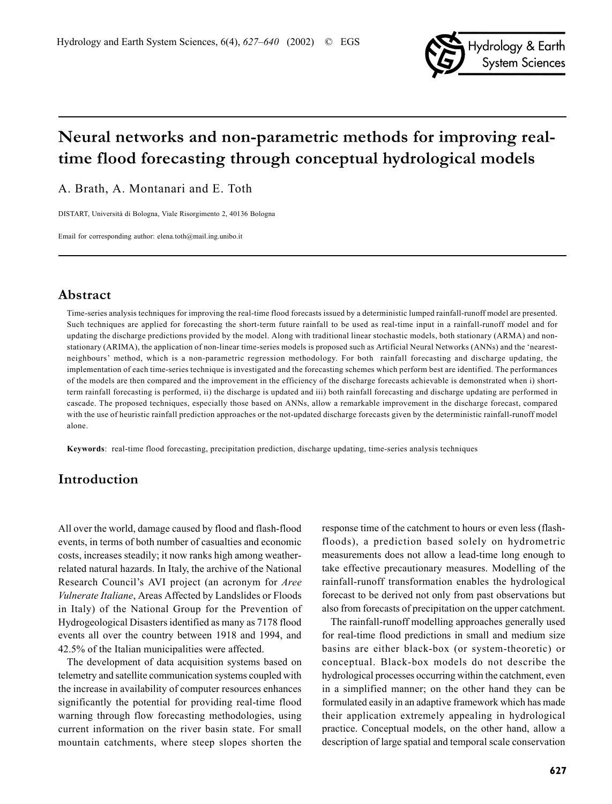

# **Neural networks and non-parametric methods for improving realtime flood forecasting through conceptual hydrological models**

A. Brath, A. Montanari and E. Toth

DISTART, Università di Bologna, Viale Risorgimento 2, 40136 Bologna

Email for corresponding author: elena*.*toth@mail.ing.unibo.it

## **Abstract**

Time-series analysis techniques for improving the real-time flood forecasts issued by a deterministic lumped rainfall-runoff model are presented. Such techniques are applied for forecasting the short-term future rainfall to be used as real-time input in a rainfall-runoff model and for updating the discharge predictions provided by the model. Along with traditional linear stochastic models, both stationary (ARMA) and nonstationary (ARIMA), the application of non-linear time-series models is proposed such as Artificial Neural Networks (ANNs) and the 'nearestneighbours' method, which is a non-parametric regression methodology. For both rainfall forecasting and discharge updating, the implementation of each time-series technique is investigated and the forecasting schemes which perform best are identified. The performances of the models are then compared and the improvement in the efficiency of the discharge forecasts achievable is demonstrated when i) shortterm rainfall forecasting is performed, ii) the discharge is updated and iii) both rainfall forecasting and discharge updating are performed in cascade. The proposed techniques, especially those based on ANNs, allow a remarkable improvement in the discharge forecast, compared with the use of heuristic rainfall prediction approaches or the not-updated discharge forecasts given by the deterministic rainfall-runoff model alone.

**Keywords**: real-time flood forecasting, precipitation prediction, discharge updating, time-series analysis techniques

# **Introduction**

All over the world, damage caused by flood and flash-flood events, in terms of both number of casualties and economic costs, increases steadily; it now ranks high among weatherrelated natural hazards. In Italy, the archive of the National Research Council's AVI project (an acronym for *Aree Vulnerate Italiane*, Areas Affected by Landslides or Floods in Italy) of the National Group for the Prevention of Hydrogeological Disasters identified as many as 7178 flood events all over the country between 1918 and 1994, and 42.5% of the Italian municipalities were affected.

The development of data acquisition systems based on telemetry and satellite communication systems coupled with the increase in availability of computer resources enhances significantly the potential for providing real-time flood warning through flow forecasting methodologies, using current information on the river basin state. For small mountain catchments, where steep slopes shorten the

response time of the catchment to hours or even less (flashfloods), a prediction based solely on hydrometric measurements does not allow a lead-time long enough to take effective precautionary measures. Modelling of the rainfall-runoff transformation enables the hydrological forecast to be derived not only from past observations but also from forecasts of precipitation on the upper catchment.

The rainfall-runoff modelling approaches generally used for real-time flood predictions in small and medium size basins are either black-box (or system-theoretic) or conceptual. Black-box models do not describe the hydrological processes occurring within the catchment, even in a simplified manner; on the other hand they can be formulated easily in an adaptive framework which has made their application extremely appealing in hydrological practice. Conceptual models, on the other hand, allow a description of large spatial and temporal scale conservation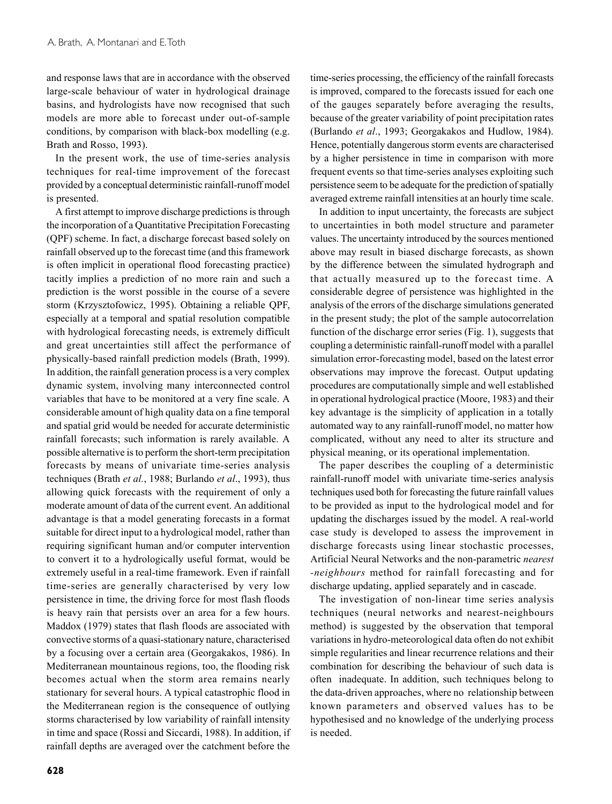and response laws that are in accordance with the observed large-scale behaviour of water in hydrological drainage basins, and hydrologists have now recognised that such models are more able to forecast under out-of-sample conditions, by comparison with black-box modelling (e.g. Brath and Rosso, 1993).

In the present work, the use of time-series analysis techniques for real-time improvement of the forecast provided by a conceptual deterministic rainfall-runoff model is presented.

A first attempt to improve discharge predictions is through the incorporation of a Quantitative Precipitation Forecasting (QPF) scheme. In fact, a discharge forecast based solely on rainfall observed up to the forecast time (and this framework is often implicit in operational flood forecasting practice) tacitly implies a prediction of no more rain and such a prediction is the worst possible in the course of a severe storm (Krzysztofowicz, 1995). Obtaining a reliable QPF, especially at a temporal and spatial resolution compatible with hydrological forecasting needs, is extremely difficult and great uncertainties still affect the performance of physically-based rainfall prediction models (Brath, 1999). In addition, the rainfall generation process is a very complex dynamic system, involving many interconnected control variables that have to be monitored at a very fine scale. A considerable amount of high quality data on a fine temporal and spatial grid would be needed for accurate deterministic rainfall forecasts; such information is rarely available. A possible alternative is to perform the short-term precipitation forecasts by means of univariate time-series analysis techniques (Brath *et al.*, 1988; Burlando *et al*., 1993), thus allowing quick forecasts with the requirement of only a moderate amount of data of the current event. An additional advantage is that a model generating forecasts in a format suitable for direct input to a hydrological model, rather than requiring significant human and/or computer intervention to convert it to a hydrologically useful format, would be extremely useful in a real-time framework. Even if rainfall time-series are generally characterised by very low persistence in time, the driving force for most flash floods is heavy rain that persists over an area for a few hours. Maddox (1979) states that flash floods are associated with convective storms of a quasi-stationary nature, characterised by a focusing over a certain area (Georgakakos, 1986). In Mediterranean mountainous regions, too, the flooding risk becomes actual when the storm area remains nearly stationary for several hours. A typical catastrophic flood in the Mediterranean region is the consequence of outlying storms characterised by low variability of rainfall intensity in time and space (Rossi and Siccardi, 1988). In addition, if rainfall depths are averaged over the catchment before the

time-series processing, the efficiency of the rainfall forecasts is improved, compared to the forecasts issued for each one of the gauges separately before averaging the results, because of the greater variability of point precipitation rates (Burlando *et al*., 1993; Georgakakos and Hudlow, 1984). Hence, potentially dangerous storm events are characterised by a higher persistence in time in comparison with more frequent events so that time-series analyses exploiting such persistence seem to be adequate for the prediction of spatially averaged extreme rainfall intensities at an hourly time scale.

In addition to input uncertainty, the forecasts are subject to uncertainties in both model structure and parameter values. The uncertainty introduced by the sources mentioned above may result in biased discharge forecasts, as shown by the difference between the simulated hydrograph and that actually measured up to the forecast time. A considerable degree of persistence was highlighted in the analysis of the errors of the discharge simulations generated in the present study; the plot of the sample autocorrelation function of the discharge error series (Fig. 1), suggests that coupling a deterministic rainfall-runoff model with a parallel simulation error-forecasting model, based on the latest error observations may improve the forecast. Output updating procedures are computationally simple and well established in operational hydrological practice (Moore, 1983) and their key advantage is the simplicity of application in a totally automated way to any rainfall-runoff model, no matter how complicated, without any need to alter its structure and physical meaning, or its operational implementation.

The paper describes the coupling of a deterministic rainfall-runoff model with univariate time-series analysis techniques used both for forecasting the future rainfall values to be provided as input to the hydrological model and for updating the discharges issued by the model. A real-world case study is developed to assess the improvement in discharge forecasts using linear stochastic processes, Artificial Neural Networks and the non-parametric *nearest -neighbours* method for rainfall forecasting and for discharge updating, applied separately and in cascade.

The investigation of non-linear time series analysis techniques (neural networks and nearest-neighbours method) is suggested by the observation that temporal variations in hydro-meteorological data often do not exhibit simple regularities and linear recurrence relations and their combination for describing the behaviour of such data is often inadequate. In addition, such techniques belong to the data-driven approaches, where no relationship between known parameters and observed values has to be hypothesised and no knowledge of the underlying process is needed.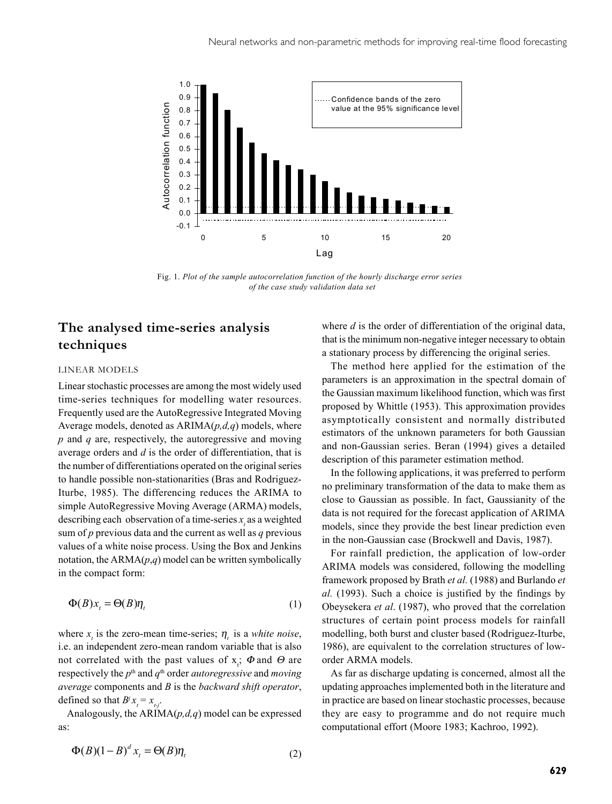

Fig. 1. *Plot of the sample autocorrelation function of the hourly discharge error series of the case study validation data set*

# **The analysed time-series analysis techniques**

#### LINEAR MODELS

Linear stochastic processes are among the most widely used time-series techniques for modelling water resources. Frequently used are the AutoRegressive Integrated Moving Average models, denoted as ARIMA(*p,d,q*) models, where *p* and *q* are, respectively, the autoregressive and moving average orders and *d* is the order of differentiation, that is the number of differentiations operated on the original series to handle possible non-stationarities (Bras and Rodriguez-Iturbe, 1985). The differencing reduces the ARIMA to simple AutoRegressive Moving Average (ARMA) models, describing each observation of a time-series  $x<sub>t</sub>$  as a weighted sum of *p* previous data and the current as well as *q* previous values of a white noise process. Using the Box and Jenkins notation, the ARMA(*p*,*q*) model can be written symbolically in the compact form:

$$
\Phi(B)x_t = \Theta(B)\eta_t \tag{1}
$$

where  $x_t$  is the zero-mean time-series;  $\eta_t$  is a *white noise*, i.e. an independent zero-mean random variable that is also not correlated with the past values of  $x_i$ ; **Φ** and **Θ** are respectively the *p*th and *q*th order *autoregressive* and *moving average* components and *B* is the *backward shift operator*, defined so that  $B^j x_i = x_{t-j}$ .

Analogously, the ARIMA(*p,d,q*) model can be expressed as:

where 
$$
d
$$
 is the order of differentiation of the original data, that is the minimum non-negative integer necessary to obtain a stationary process by differencing the original series.

The method here applied for the estimation of the parameters is an approximation in the spectral domain of the Gaussian maximum likelihood function, which was first proposed by Whittle (1953). This approximation provides asymptotically consistent and normally distributed estimators of the unknown parameters for both Gaussian and non-Gaussian series. Beran (1994) gives a detailed description of this parameter estimation method.

In the following applications, it was preferred to perform no preliminary transformation of the data to make them as close to Gaussian as possible. In fact, Gaussianity of the data is not required for the forecast application of ARIMA models, since they provide the best linear prediction even in the non-Gaussian case (Brockwell and Davis, 1987).

For rainfall prediction, the application of low-order ARIMA models was considered, following the modelling framework proposed by Brath *et al.* (1988) and Burlando *et al.* (1993). Such a choice is justified by the findings by Obeysekera *et al*. (1987), who proved that the correlation structures of certain point process models for rainfall modelling, both burst and cluster based (Rodriguez-Iturbe, 1986), are equivalent to the correlation structures of loworder ARMA models.

As far as discharge updating is concerned, almost all the updating approaches implemented both in the literature and in practice are based on linear stochastic processes, because they are easy to programme and do not require much computational effort (Moore 1983; Kachroo, 1992).

$$
\Phi(B)(1-B)^d x_t = \Theta(B)\eta_t \tag{2}
$$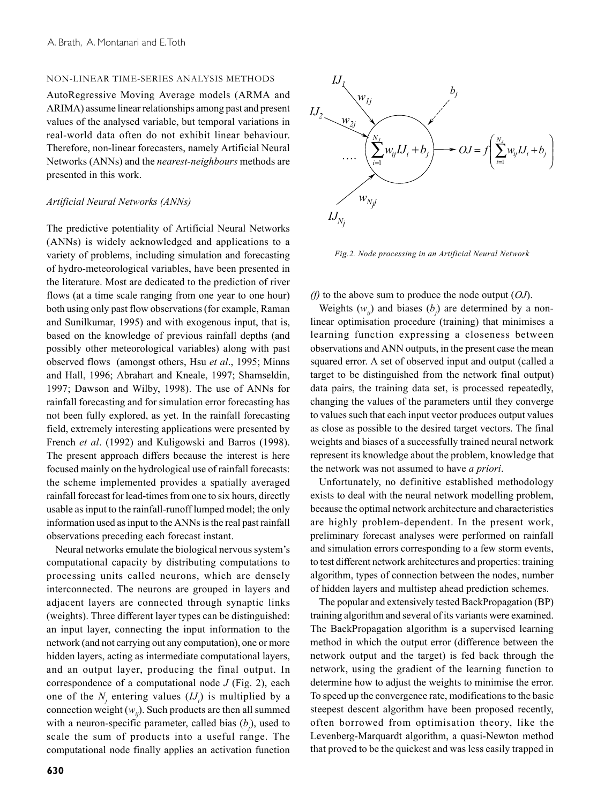### NON-LINEAR TIME-SERIES ANALYSIS METHODS

AutoRegressive Moving Average models (ARMA and ARIMA) assume linear relationships among past and present values of the analysed variable, but temporal variations in real-world data often do not exhibit linear behaviour. Therefore, non-linear forecasters, namely Artificial Neural Networks (ANNs) and the *nearest-neighbours* methods are presented in this work.

#### *Artificial Neural Networks (ANNs)*

The predictive potentiality of Artificial Neural Networks (ANNs) is widely acknowledged and applications to a variety of problems, including simulation and forecasting of hydro-meteorological variables, have been presented in the literature. Most are dedicated to the prediction of river flows (at a time scale ranging from one year to one hour) both using only past flow observations (for example, Raman and Sunilkumar, 1995) and with exogenous input, that is, based on the knowledge of previous rainfall depths (and possibly other meteorological variables) along with past observed flows (amongst others, Hsu *et al*., 1995; Minns and Hall, 1996; Abrahart and Kneale, 1997; Shamseldin, 1997; Dawson and Wilby, 1998). The use of ANNs for rainfall forecasting and for simulation error forecasting has not been fully explored, as yet. In the rainfall forecasting field, extremely interesting applications were presented by French *et al*. (1992) and Kuligowski and Barros (1998). The present approach differs because the interest is here focused mainly on the hydrological use of rainfall forecasts: the scheme implemented provides a spatially averaged rainfall forecast for lead-times from one to six hours, directly usable as input to the rainfall-runoff lumped model; the only information used as input to the ANNs is the real past rainfall observations preceding each forecast instant.

Neural networks emulate the biological nervous system's computational capacity by distributing computations to processing units called neurons, which are densely interconnected. The neurons are grouped in layers and adjacent layers are connected through synaptic links (weights). Three different layer types can be distinguished: an input layer, connecting the input information to the network (and not carrying out any computation), one or more hidden layers, acting as intermediate computational layers, and an output layer, producing the final output. In correspondence of a computational node *J* (Fig. 2), each one of the  $N_j$  entering values  $(IJ_i)$  is multiplied by a connection weight  $(w<sub>ii</sub>)$ . Such products are then all summed with a neuron-specific parameter, called bias  $(b_j)$ , used to scale the sum of products into a useful range. The computational node finally applies an activation function



*Fig.2. Node processing in an Artificial Neural Network*

*(f)* to the above sum to produce the node output (*OJ*).

Weights  $(w_{ij})$  and biases  $(b_j)$  are determined by a nonlinear optimisation procedure (training) that minimises a learning function expressing a closeness between observations and ANN outputs, in the present case the mean squared error. A set of observed input and output (called a target to be distinguished from the network final output) data pairs, the training data set, is processed repeatedly, changing the values of the parameters until they converge to values such that each input vector produces output values as close as possible to the desired target vectors. The final weights and biases of a successfully trained neural network represent its knowledge about the problem, knowledge that the network was not assumed to have *a priori*.

Unfortunately, no definitive established methodology exists to deal with the neural network modelling problem, because the optimal network architecture and characteristics are highly problem-dependent. In the present work, preliminary forecast analyses were performed on rainfall and simulation errors corresponding to a few storm events, to test different network architectures and properties: training algorithm, types of connection between the nodes, number of hidden layers and multistep ahead prediction schemes.

The popular and extensively tested BackPropagation (BP) training algorithm and several of its variants were examined. The BackPropagation algorithm is a supervised learning method in which the output error (difference between the network output and the target) is fed back through the network, using the gradient of the learning function to determine how to adjust the weights to minimise the error. To speed up the convergence rate, modifications to the basic steepest descent algorithm have been proposed recently, often borrowed from optimisation theory, like the Levenberg-Marquardt algorithm, a quasi-Newton method that proved to be the quickest and was less easily trapped in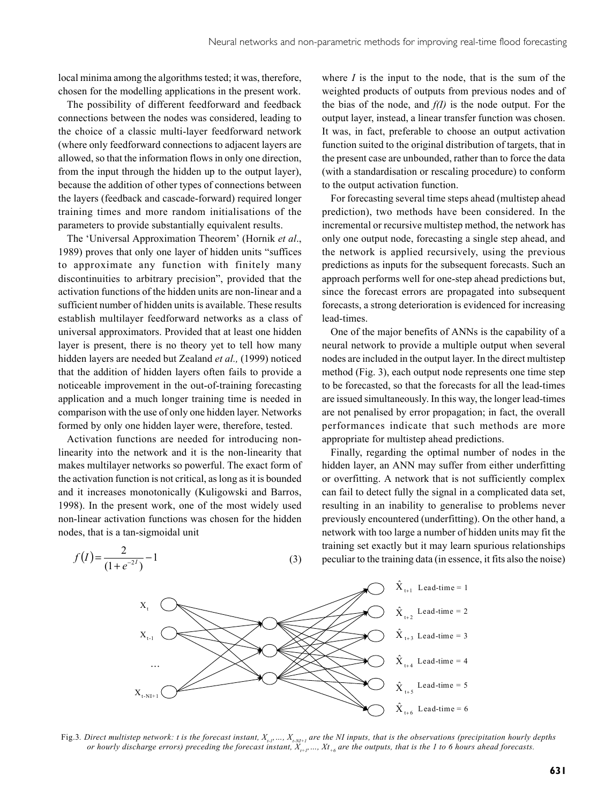local minima among the algorithms tested; it was, therefore, chosen for the modelling applications in the present work.

The possibility of different feedforward and feedback connections between the nodes was considered, leading to the choice of a classic multi-layer feedforward network (where only feedforward connections to adjacent layers are allowed, so that the information flows in only one direction, from the input through the hidden up to the output layer), because the addition of other types of connections between the layers (feedback and cascade-forward) required longer training times and more random initialisations of the parameters to provide substantially equivalent results.

The 'Universal Approximation Theorem' (Hornik *et al*., 1989) proves that only one layer of hidden units "suffices to approximate any function with finitely many discontinuities to arbitrary precision", provided that the activation functions of the hidden units are non-linear and a sufficient number of hidden units is available. These results establish multilayer feedforward networks as a class of universal approximators. Provided that at least one hidden layer is present, there is no theory yet to tell how many hidden layers are needed but Zealand *et al.,* (1999) noticed that the addition of hidden layers often fails to provide a noticeable improvement in the out-of-training forecasting application and a much longer training time is needed in comparison with the use of only one hidden layer. Networks formed by only one hidden layer were, therefore, tested.

Activation functions are needed for introducing nonlinearity into the network and it is the non-linearity that makes multilayer networks so powerful. The exact form of the activation function is not critical, as long as it is bounded and it increases monotonically (Kuligowski and Barros, 1998). In the present work, one of the most widely used non-linear activation functions was chosen for the hidden nodes, that is a tan-sigmoidal unit

where *I* is the input to the node, that is the sum of the weighted products of outputs from previous nodes and of the bias of the node, and *f(I)* is the node output. For the output layer, instead, a linear transfer function was chosen. It was, in fact, preferable to choose an output activation function suited to the original distribution of targets, that in the present case are unbounded, rather than to force the data (with a standardisation or rescaling procedure) to conform to the output activation function.

For forecasting several time steps ahead (multistep ahead prediction), two methods have been considered. In the incremental or recursive multistep method, the network has only one output node, forecasting a single step ahead, and the network is applied recursively, using the previous predictions as inputs for the subsequent forecasts. Such an approach performs well for one-step ahead predictions but, since the forecast errors are propagated into subsequent forecasts, a strong deterioration is evidenced for increasing lead-times.

One of the major benefits of ANNs is the capability of a neural network to provide a multiple output when several nodes are included in the output layer. In the direct multistep method (Fig. 3), each output node represents one time step to be forecasted, so that the forecasts for all the lead-times are issued simultaneously. In this way, the longer lead-times are not penalised by error propagation; in fact, the overall performances indicate that such methods are more appropriate for multistep ahead predictions.

Finally, regarding the optimal number of nodes in the hidden layer, an ANN may suffer from either underfitting or overfitting. A network that is not sufficiently complex can fail to detect fully the signal in a complicated data set, resulting in an inability to generalise to problems never previously encountered (underfitting). On the other hand, a network with too large a number of hidden units may fit the training set exactly but it may learn spurious relationships peculiar to the training data (in essence, it fits also the noise)



(3)

Fig.3. Direct multistep network: t is the forecast instant,  $X_{t}$ ,  $X_{t}$ ,  $X_{t}$ , are the NI inputs, that is the observations (precipitation hourly depths *or hourly discharge errors) preceding the forecast instant,*  $X_{t+p}$   $\ldots$ ,  $X_{t+6}$  *are the outputs, that is the 1 to 6 hours ahead forecasts.*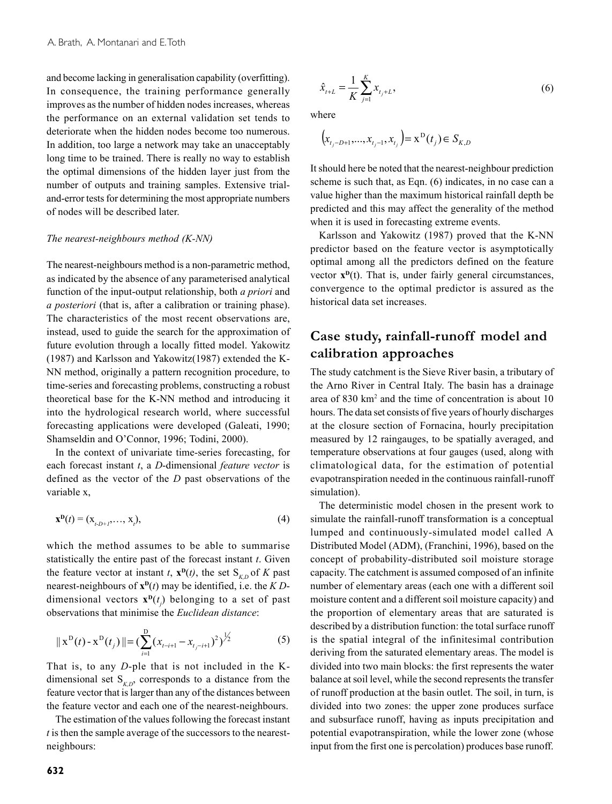and become lacking in generalisation capability (overfitting). In consequence, the training performance generally improves as the number of hidden nodes increases, whereas the performance on an external validation set tends to deteriorate when the hidden nodes become too numerous. In addition, too large a network may take an unacceptably long time to be trained. There is really no way to establish the optimal dimensions of the hidden layer just from the number of outputs and training samples. Extensive trialand-error tests for determining the most appropriate numbers of nodes will be described later.

#### *The nearest-neighbours method (K-NN)*

The nearest-neighbours method is a non-parametric method, as indicated by the absence of any parameterised analytical function of the input-output relationship, both *a priori* and *a posteriori* (that is, after a calibration or training phase). The characteristics of the most recent observations are, instead, used to guide the search for the approximation of future evolution through a locally fitted model. Yakowitz (1987) and Karlsson and Yakowitz(1987) extended the K-NN method, originally a pattern recognition procedure, to time-series and forecasting problems, constructing a robust theoretical base for the K-NN method and introducing it into the hydrological research world, where successful forecasting applications were developed (Galeati, 1990; Shamseldin and O'Connor, 1996; Todini, 2000).

In the context of univariate time-series forecasting, for each forecast instant *t*, a *D*-dimensional *feature vector* is defined as the vector of the *D* past observations of the variable x,

$$
\mathbf{x}^{\mathbf{D}}(t) = (\mathbf{x}_{t \cdot D + 1}, \dots, \mathbf{x}_{t}),
$$
\n(4)

which the method assumes to be able to summarise statistically the entire past of the forecast instant *t*. Given the feature vector at instant *t*,  $\mathbf{x}^{\mathbf{D}}(t)$ , the set  $S_{K,D}$  of *K* past nearest-neighbours of  $\mathbf{x}^{\mathbf{D}}(t)$  may be identified, i.e. the *KD*dimensional vectors  $\mathbf{x}^{\mathbf{D}}(t_j)$  belonging to a set of past observations that minimise the *Euclidean distance*:

$$
\| \mathbf{x}^{D}(t) - \mathbf{x}^{D}(t_{j}) \| = \left( \sum_{i=1}^{D} (x_{t-i+1} - x_{t_{j}-i+1})^{2} \right)^{\frac{1}{2}}
$$
(5)

That is, to any *D*-ple that is not included in the Kdimensional set  $S_{KN}$ , corresponds to a distance from the feature vector that is larger than any of the distances between the feature vector and each one of the nearest-neighbours.

The estimation of the values following the forecast instant *t* is then the sample average of the successors to the nearestneighbours:

$$
\hat{x}_{t+L} = \frac{1}{K} \sum_{j=1}^{K} x_{t_j + L},
$$
\n(6)

where

$$
(x_{t_j-D+1},...,x_{t_j-1},x_{t_j}) = x^D(t_j) \in S_{K,D}
$$

It should here be noted that the nearest-neighbour prediction scheme is such that, as Eqn. (6) indicates, in no case can a value higher than the maximum historical rainfall depth be predicted and this may affect the generality of the method when it is used in forecasting extreme events.

Karlsson and Yakowitz (1987) proved that the K-NN predictor based on the feature vector is asymptotically optimal among all the predictors defined on the feature vector  $\mathbf{x}^{\mathbf{D}}(t)$ . That is, under fairly general circumstances, convergence to the optimal predictor is assured as the historical data set increases.

# **Case study, rainfall-runoff model and calibration approaches**

The study catchment is the Sieve River basin, a tributary of the Arno River in Central Italy. The basin has a drainage area of 830 km2 and the time of concentration is about 10 hours. The data set consists of five years of hourly discharges at the closure section of Fornacina, hourly precipitation measured by 12 raingauges, to be spatially averaged, and temperature observations at four gauges (used, along with climatological data, for the estimation of potential evapotranspiration needed in the continuous rainfall-runoff simulation).

The deterministic model chosen in the present work to simulate the rainfall-runoff transformation is a conceptual lumped and continuously-simulated model called A Distributed Model (ADM), (Franchini, 1996), based on the concept of probability-distributed soil moisture storage capacity. The catchment is assumed composed of an infinite number of elementary areas (each one with a different soil moisture content and a different soil moisture capacity) and the proportion of elementary areas that are saturated is described by a distribution function: the total surface runoff is the spatial integral of the infinitesimal contribution deriving from the saturated elementary areas. The model is divided into two main blocks: the first represents the water balance at soil level, while the second represents the transfer of runoff production at the basin outlet. The soil, in turn, is divided into two zones: the upper zone produces surface and subsurface runoff, having as inputs precipitation and potential evapotranspiration, while the lower zone (whose input from the first one is percolation) produces base runoff.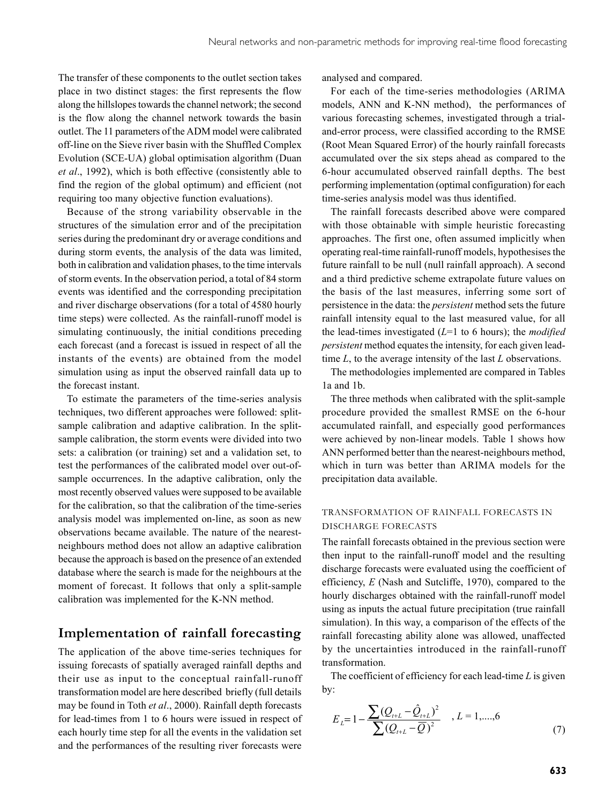The transfer of these components to the outlet section takes place in two distinct stages: the first represents the flow along the hillslopes towards the channel network; the second is the flow along the channel network towards the basin outlet. The 11 parameters of the ADM model were calibrated off-line on the Sieve river basin with the Shuffled Complex Evolution (SCE-UA) global optimisation algorithm (Duan *et al*., 1992), which is both effective (consistently able to find the region of the global optimum) and efficient (not requiring too many objective function evaluations).

Because of the strong variability observable in the structures of the simulation error and of the precipitation series during the predominant dry or average conditions and during storm events, the analysis of the data was limited, both in calibration and validation phases, to the time intervals of storm events. In the observation period, a total of 84 storm events was identified and the corresponding precipitation and river discharge observations (for a total of 4580 hourly time steps) were collected. As the rainfall-runoff model is simulating continuously, the initial conditions preceding each forecast (and a forecast is issued in respect of all the instants of the events) are obtained from the model simulation using as input the observed rainfall data up to the forecast instant.

To estimate the parameters of the time-series analysis techniques, two different approaches were followed: splitsample calibration and adaptive calibration. In the splitsample calibration, the storm events were divided into two sets: a calibration (or training) set and a validation set, to test the performances of the calibrated model over out-ofsample occurrences. In the adaptive calibration, only the most recently observed values were supposed to be available for the calibration, so that the calibration of the time-series analysis model was implemented on-line, as soon as new observations became available. The nature of the nearestneighbours method does not allow an adaptive calibration because the approach is based on the presence of an extended database where the search is made for the neighbours at the moment of forecast. It follows that only a split-sample calibration was implemented for the K-NN method.

## **Implementation of rainfall forecasting**

The application of the above time-series techniques for issuing forecasts of spatially averaged rainfall depths and their use as input to the conceptual rainfall-runoff transformation model are here described briefly (full details may be found in Toth *et al*., 2000). Rainfall depth forecasts for lead-times from 1 to 6 hours were issued in respect of each hourly time step for all the events in the validation set and the performances of the resulting river forecasts were

analysed and compared.

For each of the time-series methodologies (ARIMA models, ANN and K-NN method), the performances of various forecasting schemes, investigated through a trialand-error process, were classified according to the RMSE (Root Mean Squared Error) of the hourly rainfall forecasts accumulated over the six steps ahead as compared to the 6-hour accumulated observed rainfall depths. The best performing implementation (optimal configuration) for each time-series analysis model was thus identified.

The rainfall forecasts described above were compared with those obtainable with simple heuristic forecasting approaches. The first one, often assumed implicitly when operating real-time rainfall-runoff models, hypothesises the future rainfall to be null (null rainfall approach). A second and a third predictive scheme extrapolate future values on the basis of the last measures, inferring some sort of persistence in the data: the *persistent* method sets the future rainfall intensity equal to the last measured value, for all the lead-times investigated (*L*=1 to 6 hours); the *modified persistent* method equates the intensity, for each given leadtime *L*, to the average intensity of the last *L* observations.

The methodologies implemented are compared in Tables 1a and 1b.

The three methods when calibrated with the split-sample procedure provided the smallest RMSE on the 6-hour accumulated rainfall, and especially good performances were achieved by non-linear models. Table 1 shows how ANN performed better than the nearest-neighbours method, which in turn was better than ARIMA models for the precipitation data available.

## TRANSFORMATION OF RAINFALL FORECASTS IN DISCHARGE FORECASTS

The rainfall forecasts obtained in the previous section were then input to the rainfall-runoff model and the resulting discharge forecasts were evaluated using the coefficient of efficiency, *E* (Nash and Sutcliffe, 1970), compared to the hourly discharges obtained with the rainfall-runoff model using as inputs the actual future precipitation (true rainfall simulation). In this way, a comparison of the effects of the rainfall forecasting ability alone was allowed, unaffected by the uncertainties introduced in the rainfall-runoff transformation.

The coefficient of efficiency for each lead-time *L* is given by:

$$
E_{L} = 1 - \frac{\sum (Q_{t+L} - \hat{Q}_{t+L})^2}{\sum (Q_{t+L} - \overline{Q})^2}, L = 1, \dots, 6
$$
\n(7)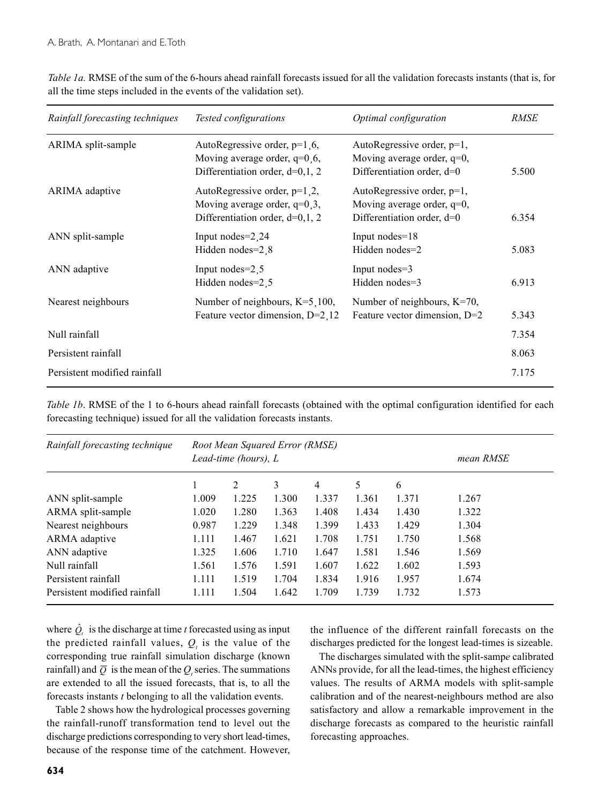| Rainfall forecasting techniques | Tested configurations                                                                                   | Optimal configuration                                                                     | <b>RMSE</b> |
|---------------------------------|---------------------------------------------------------------------------------------------------------|-------------------------------------------------------------------------------------------|-------------|
| ARIMA split-sample              | AutoRegressive order, $p=1,6$ ,<br>Moving average order, $q=0.6$ ,<br>Differentiation order, $d=0,1, 2$ | AutoRegressive order, p=1,<br>Moving average order, $q=0$ ,<br>Differentiation order, d=0 | 5.500       |
| ARIMA adaptive                  | AutoRegressive order, $p=1,2$ ,<br>Moving average order, $q=0.3$ ,<br>Differentiation order, $d=0,1, 2$ | AutoRegressive order, p=1,<br>Moving average order, $q=0$ ,<br>Differentiation order, d=0 | 6.354       |
| ANN split-sample                | Input nodes=2,24<br>Hidden nodes=2.8                                                                    | Input nodes=18<br>Hidden nodes=2                                                          | 5.083       |
| ANN adaptive                    | Input nodes= $2,5$<br>Hidden nodes=2.5                                                                  | Input nodes=3<br>Hidden nodes=3                                                           | 6.913       |
| Nearest neighbours              | Number of neighbours, $K=5,100$ ,<br>Feature vector dimension, D=2,12                                   | Number of neighbours, K=70,<br>Feature vector dimension, D=2                              | 5.343       |
| Null rainfall                   |                                                                                                         |                                                                                           | 7.354       |
| Persistent rainfall             |                                                                                                         |                                                                                           | 8.063       |
| Persistent modified rainfall    |                                                                                                         |                                                                                           | 7.175       |

*Table 1a.* RMSE of the sum of the 6-hours ahead rainfall forecasts issued for all the validation forecasts instants (that is, for all the time steps included in the events of the validation set).

*Table 1b.* RMSE of the 1 to 6-hours ahead rainfall forecasts (obtained with the optimal configuration identified for each forecasting technique) issued for all the validation forecasts instants.

| Rainfall forecasting technique |       | Root Mean Squared Error (RMSE) |           |       |       |       |       |
|--------------------------------|-------|--------------------------------|-----------|-------|-------|-------|-------|
|                                |       | Lead-time (hours), L           | mean RMSE |       |       |       |       |
|                                |       | 2                              | 3         | 4     | 5     | 6     |       |
| ANN split-sample               | 1.009 | 1.225                          | 1.300     | 1.337 | 1.361 | 1.371 | 1.267 |
| ARMA split-sample              | 1.020 | 1.280                          | 1.363     | 1.408 | 1.434 | 1.430 | 1.322 |
| Nearest neighbours             | 0.987 | 1.229                          | 1.348     | 1.399 | 1.433 | 1.429 | 1.304 |
| ARMA adaptive                  | 1.111 | 1.467                          | 1.621     | 1.708 | 1.751 | 1.750 | 1.568 |
| ANN adaptive                   | 1.325 | 1.606                          | 1.710     | 1.647 | 1.581 | 1.546 | 1.569 |
| Null rainfall                  | 1.561 | 1.576                          | 1.591     | 1.607 | 1.622 | 1.602 | 1.593 |
| Persistent rainfall            | 1.111 | 1.519                          | 1.704     | 1.834 | 1.916 | 1.957 | 1.674 |
| Persistent modified rainfall   | 1.111 | 1.504                          | 1.642     | 1.709 | 1.739 | 1.732 | 1.573 |

where  $\hat{Q}_t$  is the discharge at time *t* forecasted using as input the predicted rainfall values,  $Q_t$  is the value of the corresponding true rainfall simulation discharge (known rainfall) and  $\overline{Q}$  is the mean of the  $Q_t$  series. The summations are extended to all the issued forecasts, that is, to all the forecasts instants *t* belonging to all the validation events.

Table 2 shows how the hydrological processes governing the rainfall-runoff transformation tend to level out the discharge predictions corresponding to very short lead-times, because of the response time of the catchment. However,

the influence of the different rainfall forecasts on the discharges predicted for the longest lead-times is sizeable.

The discharges simulated with the split-samp*e* calibrated ANNs provide, for all the lead-times, the highest efficiency values. The results of ARMA models with split-sample calibration and of the nearest-neighbours method are also satisfactory and allow a remarkable improvement in the discharge forecasts as compared to the heuristic rainfall forecasting approaches.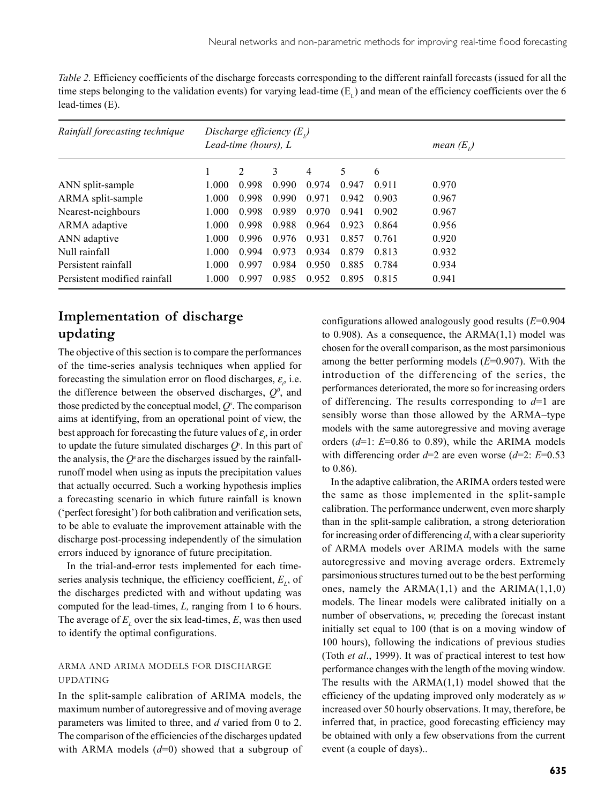| Table 2. Efficiency coefficients of the discharge forecasts corresponding to the different rainfall forecasts (issued for all the |  |
|-----------------------------------------------------------------------------------------------------------------------------------|--|
| time steps belonging to the validation events) for varying lead-time $(E_i)$ and mean of the efficiency coefficients over the 6   |  |
| lead-times (E).                                                                                                                   |  |

| Rainfall forecasting technique |       | Lead-time (hours), L | Discharge efficiency $(E_i)$ | mean $(E_i)$ |       |       |       |  |
|--------------------------------|-------|----------------------|------------------------------|--------------|-------|-------|-------|--|
|                                |       | 2                    | 3                            | 4            | 5.    | 6     |       |  |
| ANN split-sample               | 1.000 | 0.998                | 0.990                        | 0.974        | 0.947 | 0.911 | 0.970 |  |
| ARMA split-sample              | 1.000 | 0.998                | 0.990                        | 0.971        | 0.942 | 0.903 | 0.967 |  |
| Nearest-neighbours             | 1.000 | 0.998                | 0.989                        | 0.970        | 0.941 | 0.902 | 0.967 |  |
| ARMA adaptive                  | 1.000 | 0.998                | 0.988                        | 0.964        | 0.923 | 0.864 | 0.956 |  |
| ANN adaptive                   | 1.000 | 0.996                | 0.976                        | 0.931        | 0.857 | 0.761 | 0.920 |  |
| Null rainfall                  | 1.000 | 0.994                | 0.973                        | 0.934        | 0.879 | 0.813 | 0.932 |  |
| Persistent rainfall            | 1.000 | 0.997                | 0.984                        | 0.950        | 0.885 | 0.784 | 0.934 |  |
| Persistent modified rainfall   | 1.000 | 0.997                | 0.985                        | 0.952        | 0.895 | 0.815 | 0.941 |  |

# **Implementation of discharge updating**

The objective of this section is to compare the performances of the time-series analysis techniques when applied for forecasting the simulation error on flood discharges,  $\varepsilon$ <sub>i</sub>, i.e. the difference between the observed discharges,  $Q^{\theta}$ , and those predicted by the conceptual model, *Qs* . The comparison aims at identifying, from an operational point of view, the best approach for forecasting the future values of  $\varepsilon$ <sub>*c*</sub> in order to update the future simulated discharges  $Q<sup>s</sup>$ . In this part of the analysis, the  $Q^s$  are the discharges issued by the rainfallrunoff model when using as inputs the precipitation values that actually occurred. Such a working hypothesis implies a forecasting scenario in which future rainfall is known ('perfect foresight') for both calibration and verification sets, to be able to evaluate the improvement attainable with the discharge post-processing independently of the simulation errors induced by ignorance of future precipitation.

In the trial-and-error tests implemented for each timeseries analysis technique, the efficiency coefficient,  $E_L$ , of the discharges predicted with and without updating was computed for the lead-times, *L,* ranging from 1 to 6 hours. The average of  $E_L$  over the six lead-times,  $E$ , was then used to identify the optimal configurations.

### ARMA AND ARIMA MODELS FOR DISCHARGE UPDATING

In the split-sample calibration of ARIMA models, the maximum number of autoregressive and of moving average parameters was limited to three, and *d* varied from 0 to 2. The comparison of the efficiencies of the discharges updated with ARMA models (d=0) showed that a subgroup of

configurations allowed analogously good results (*E*=0.904 to 0.908). As a consequence, the ARMA(1,1) model was chosen for the overall comparison, as the most parsimonious among the better performing models (*E*=0.907). With the introduction of the differencing of the series, the performances deteriorated, the more so for increasing orders of differencing. The results corresponding to *d*=1 are sensibly worse than those allowed by the ARMA–type models with the same autoregressive and moving average orders (*d*=1: *E*=0.86 to 0.89), while the ARIMA models with differencing order *d*=2 are even worse (*d*=2: *E*=0.53 to 0.86).

In the adaptive calibration, the ARIMA orders tested were the same as those implemented in the split-sample calibration. The performance underwent, even more sharply than in the split-sample calibration, a strong deterioration for increasing order of differencing *d*, with a clear superiority of ARMA models over ARIMA models with the same autoregressive and moving average orders. Extremely parsimonious structures turned out to be the best performing ones, namely the  $ARMA(1,1)$  and the  $ARIMA(1,1,0)$ models. The linear models were calibrated initially on a number of observations, *w,* preceding the forecast instant initially set equal to 100 (that is on a moving window of 100 hours), following the indications of previous studies (Toth *et al*., 1999). It was of practical interest to test how performance changes with the length of the moving window. The results with the ARMA(1,1) model showed that the efficiency of the updating improved only moderately as *w* increased over 50 hourly observations. It may, therefore, be inferred that, in practice, good forecasting efficiency may be obtained with only a few observations from the current event (a couple of days)..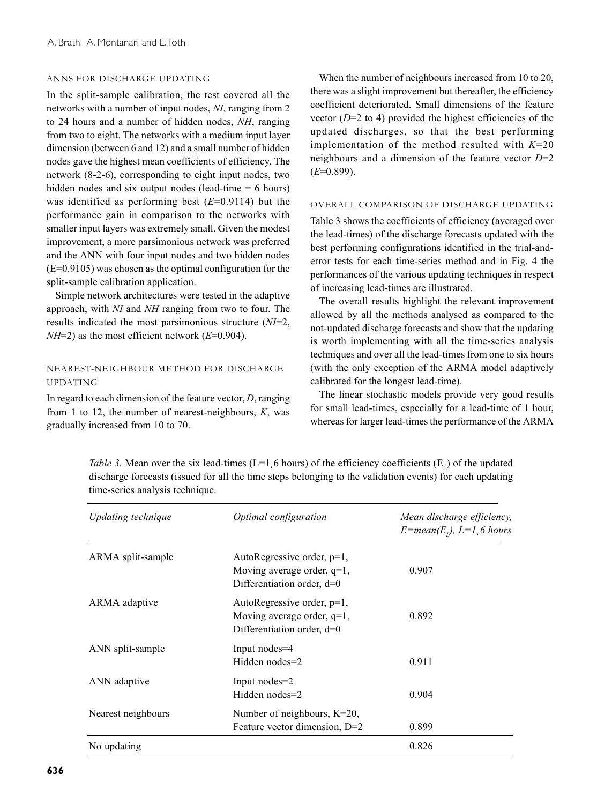#### ANNS FOR DISCHARGE UPDATING

In the split-sample calibration, the test covered all the networks with a number of input nodes, *NI*, ranging from 2 to 24 hours and a number of hidden nodes, *NH*, ranging from two to eight. The networks with a medium input layer dimension (between 6 and 12) and a small number of hidden nodes gave the highest mean coefficients of efficiency. The network (8-2-6), corresponding to eight input nodes, two hidden nodes and six output nodes (lead-time  $= 6$  hours) was identified as performing best (*E*=0.9114) but the performance gain in comparison to the networks with smaller input layers was extremely small. Given the modest improvement, a more parsimonious network was preferred and the ANN with four input nodes and two hidden nodes (E=0.9105) was chosen as the optimal configuration for the split-sample calibration application.

Simple network architectures were tested in the adaptive approach, with *NI* and *NH* ranging from two to four. The results indicated the most parsimonious structure (*NI*=2, *NH*=2) as the most efficient network (*E*=0.904).

### NEAREST-NEIGHBOUR METHOD FOR DISCHARGE UPDATING

In regard to each dimension of the feature vector, *D*, ranging from 1 to 12, the number of nearest-neighbours, *K*, was gradually increased from 10 to 70.

When the number of neighbours increased from 10 to 20, there was a slight improvement but thereafter, the efficiency coefficient deteriorated. Small dimensions of the feature vector  $(D=2$  to 4) provided the highest efficiencies of the updated discharges, so that the best performing implementation of the method resulted with *K*=20 neighbours and a dimension of the feature vector *D*=2 (*E*=0.899).

### OVERALL COMPARISON OF DISCHARGE UPDATING

Table 3 shows the coefficients of efficiency (averaged over the lead-times) of the discharge forecasts updated with the best performing configurations identified in the trial-anderror tests for each time-series method and in Fig. 4 the performances of the various updating techniques in respect of increasing lead-times are illustrated.

The overall results highlight the relevant improvement allowed by all the methods analysed as compared to the not-updated discharge forecasts and show that the updating is worth implementing with all the time-series analysis techniques and over all the lead-times from one to six hours (with the only exception of the ARMA model adaptively calibrated for the longest lead-time).

The linear stochastic models provide very good results for small lead-times, especially for a lead-time of 1 hour, whereas for larger lead-times the performance of the ARMA

| <i>Table 3.</i> Mean over the six lead-times (L=1, 6 hours) of the efficiency coefficients (E <sub>i</sub> ) of the updated |
|-----------------------------------------------------------------------------------------------------------------------------|
| discharge forecasts (issued for all the time steps belonging to the validation events) for each updating                    |
| time-series analysis technique.                                                                                             |

| Updating technique | Optimal configuration                                                                          | Mean discharge efficiency,<br>$E=mean(E_i)$ , $L=1,6$ hours |
|--------------------|------------------------------------------------------------------------------------------------|-------------------------------------------------------------|
| ARMA split-sample  | AutoRegressive order, $p=1$ ,<br>Moving average order, $q=1$ ,<br>Differentiation order, $d=0$ | 0.907                                                       |
| ARMA adaptive      | AutoRegressive order, $p=1$ ,<br>Moving average order, $q=1$ ,<br>Differentiation order, $d=0$ | 0.892                                                       |
| ANN split-sample   | Input nodes=4<br>Hidden nodes=2                                                                | 0.911                                                       |
| ANN adaptive       | Input nodes=2<br>Hidden nodes=2                                                                | 0.904                                                       |
| Nearest neighbours | Number of neighbours, $K=20$ ,<br>Feature vector dimension, D=2                                | 0.899                                                       |
| No updating        |                                                                                                | 0.826                                                       |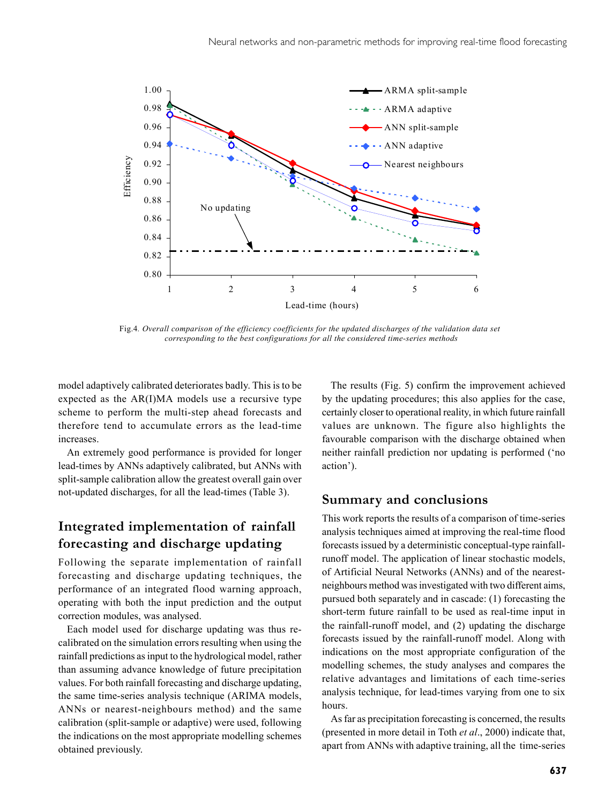

Fig.4*. Overall comparison of the efficiency coefficients for the updated discharges of the validation data set corresponding to the best configurations for all the considered time-series methods*

model adaptively calibrated deteriorates badly. This is to be expected as the AR(I)MA models use a recursive type scheme to perform the multi-step ahead forecasts and therefore tend to accumulate errors as the lead-time increases.

An extremely good performance is provided for longer lead-times by ANNs adaptively calibrated, but ANNs with split-sample calibration allow the greatest overall gain over not-updated discharges, for all the lead-times (Table 3).

# **Integrated implementation of rainfall forecasting and discharge updating**

Following the separate implementation of rainfall forecasting and discharge updating techniques, the performance of an integrated flood warning approach, operating with both the input prediction and the output correction modules, was analysed.

Each model used for discharge updating was thus recalibrated on the simulation errors resulting when using the rainfall predictions as input to the hydrological model, rather than assuming advance knowledge of future precipitation values. For both rainfall forecasting and discharge updating, the same time-series analysis technique (ARIMA models, ANNs or nearest-neighbours method) and the same calibration (split-sample or adaptive) were used, following the indications on the most appropriate modelling schemes obtained previously.

The results (Fig. 5) confirm the improvement achieved by the updating procedures; this also applies for the case, certainly closer to operational reality, in which future rainfall values are unknown. The figure also highlights the favourable comparison with the discharge obtained when neither rainfall prediction nor updating is performed ('no action').

# **Summary and conclusions**

This work reports the results of a comparison of time-series analysis techniques aimed at improving the real-time flood forecasts issued by a deterministic conceptual-type rainfallrunoff model. The application of linear stochastic models, of Artificial Neural Networks (ANNs) and of the nearestneighbours method was investigated with two different aims, pursued both separately and in cascade: (1) forecasting the short-term future rainfall to be used as real-time input in the rainfall-runoff model, and (2) updating the discharge forecasts issued by the rainfall-runoff model. Along with indications on the most appropriate configuration of the modelling schemes, the study analyses and compares the relative advantages and limitations of each time-series analysis technique, for lead-times varying from one to six hours.

As far as precipitation forecasting is concerned, the results (presented in more detail in Toth *et al*., 2000) indicate that, apart from ANNs with adaptive training, all the time-series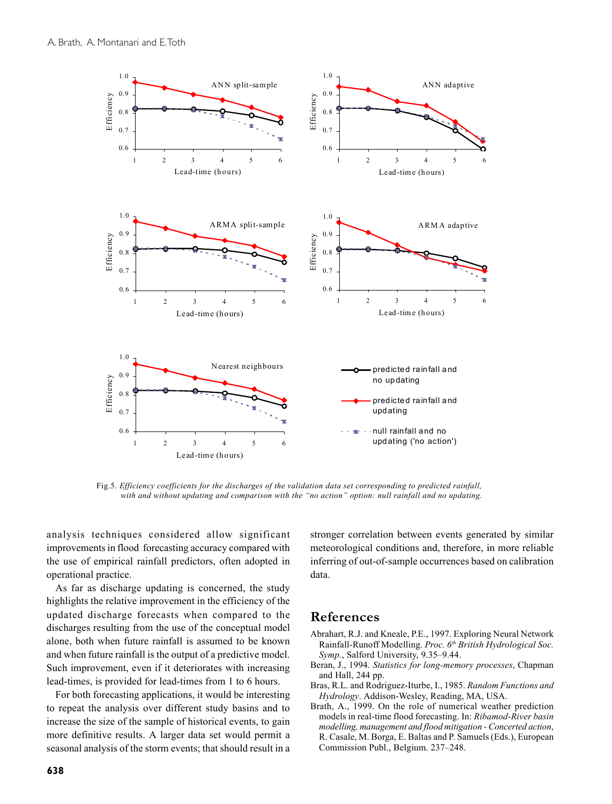

Fig.5*. Efficiency coefficients for the discharges of the validation data set corresponding to predicted rainfall, with and without updating and comparison with the "no action" option: null rainfall and no updating.*

analysis techniques considered allow significant improvements in flood forecasting accuracy compared with the use of empirical rainfall predictors, often adopted in operational practice.

As far as discharge updating is concerned, the study highlights the relative improvement in the efficiency of the updated discharge forecasts when compared to the discharges resulting from the use of the conceptual model alone, both when future rainfall is assumed to be known and when future rainfall is the output of a predictive model. Such improvement, even if it deteriorates with increasing lead-times, is provided for lead-times from 1 to 6 hours.

For both forecasting applications, it would be interesting to repeat the analysis over different study basins and to increase the size of the sample of historical events, to gain more definitive results. A larger data set would permit a seasonal analysis of the storm events; that should result in a stronger correlation between events generated by similar meteorological conditions and, therefore, in more reliable inferring of out-of-sample occurrences based on calibration data.

## **References**

- Abrahart, R.J. and Kneale, P.E., 1997. Exploring Neural Network Rainfall-Runoff Modelling. *Proc. 6th British Hydrological Soc. Symp*., Salford University, 9.35–9.44.
- Beran, J., 1994. *Statistics for long-memory processes*, Chapman and Hall, 244 pp.
- Bras, R.L. and Rodriguez-Iturbe, I., 1985. *Random Functions and Hydrology*. Addison-Wesley, Reading, MA, USA.
- Brath, A., 1999. On the role of numerical weather prediction models in real-time flood forecasting. In: *Ribamod-River basin modelling, management and flood mitigation - Concerted action*, R. Casale, M. Borga, E. Baltas and P. Samuels (Eds.), European Commission Publ., Belgium. 237–248.